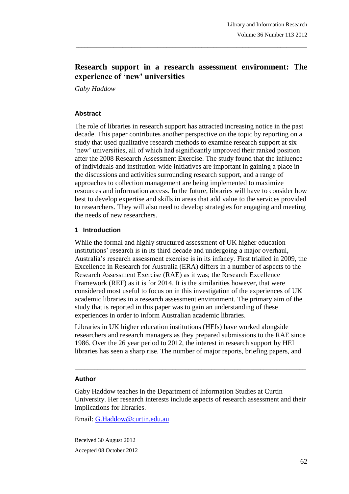# **Research support in a research assessment environment: The experience of 'new' universities**

\_\_\_\_\_\_\_\_\_\_\_\_\_\_\_\_\_\_\_\_\_\_\_\_\_\_\_\_\_\_\_\_\_\_\_\_\_\_\_\_\_\_\_\_\_\_\_\_\_\_\_\_\_\_\_\_\_\_\_\_\_\_\_\_\_\_\_\_\_\_\_\_\_\_\_\_\_\_\_

*Gaby Haddow*

#### **Abstract**

The role of libraries in research support has attracted increasing notice in the past decade. This paper contributes another perspective on the topic by reporting on a study that used qualitative research methods to examine research support at six 'new' universities, all of which had significantly improved their ranked position after the 2008 Research Assessment Exercise. The study found that the influence of individuals and institution-wide initiatives are important in gaining a place in the discussions and activities surrounding research support, and a range of approaches to collection management are being implemented to maximize resources and information access. In the future, libraries will have to consider how best to develop expertise and skills in areas that add value to the services provided to researchers. They will also need to develop strategies for engaging and meeting the needs of new researchers.

#### **1 Introduction**

While the formal and highly structured assessment of UK higher education institutions' research is in its third decade and undergoing a major overhaul, Australia's research assessment exercise is in its infancy. First trialled in 2009, the Excellence in Research for Australia (ERA) differs in a number of aspects to the Research Assessment Exercise (RAE) as it was; the Research Excellence Framework (REF) as it is for 2014. It is the similarities however, that were considered most useful to focus on in this investigation of the experiences of UK academic libraries in a research assessment environment. The primary aim of the study that is reported in this paper was to gain an understanding of these experiences in order to inform Australian academic libraries.

Libraries in UK higher education institutions (HEIs) have worked alongside researchers and research managers as they prepared submissions to the RAE since 1986. Over the 26 year period to 2012, the interest in research support by HEI libraries has seen a sharp rise. The number of major reports, briefing papers, and

\_\_\_\_\_\_\_\_\_\_\_\_\_\_\_\_\_\_\_\_\_\_\_\_\_\_\_\_\_\_\_\_\_\_\_\_\_\_\_\_\_\_\_\_\_\_\_\_\_\_\_\_\_\_\_\_\_\_\_\_\_\_\_\_\_\_\_\_\_\_\_

#### **Author**

Gaby Haddow teaches in the Department of Information Studies at Curtin University. Her research interests include aspects of research assessment and their implications for libraries.

Email: G.Haddow@curtin.edu.au

Received 30 August 2012 Accepted 08 October 2012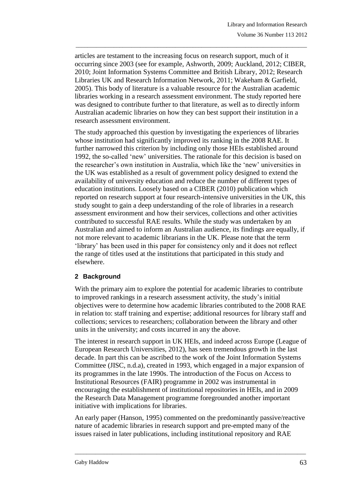articles are testament to the increasing focus on research support, much of it occurring since 2003 (see for example, Ashworth, 2009; Auckland, 2012; CIBER, 2010; Joint Information Systems Committee and British Library, 2012; Research Libraries UK and Research Information Network, 2011; Wakeham & Garfield, 2005). This body of literature is a valuable resource for the Australian academic libraries working in a research assessment environment. The study reported here was designed to contribute further to that literature, as well as to directly inform Australian academic libraries on how they can best support their institution in a research assessment environment.

\_\_\_\_\_\_\_\_\_\_\_\_\_\_\_\_\_\_\_\_\_\_\_\_\_\_\_\_\_\_\_\_\_\_\_\_\_\_\_\_\_\_\_\_\_\_\_\_\_\_\_\_\_\_\_\_\_\_\_\_\_\_\_\_\_\_\_\_\_\_\_\_\_\_\_\_\_\_\_

The study approached this question by investigating the experiences of libraries whose institution had significantly improved its ranking in the 2008 RAE. It further narrowed this criterion by including only those HEIs established around 1992, the so-called 'new' universities. The rationale for this decision is based on the researcher's own institution in Australia, which like the 'new' universities in the UK was established as a result of government policy designed to extend the availability of university education and reduce the number of different types of education institutions. Loosely based on a CIBER (2010) publication which reported on research support at four research-intensive universities in the UK, this study sought to gain a deep understanding of the role of libraries in a research assessment environment and how their services, collections and other activities contributed to successful RAE results. While the study was undertaken by an Australian and aimed to inform an Australian audience, its findings are equally, if not more relevant to academic librarians in the UK. Please note that the term 'library' has been used in this paper for consistency only and it does not reflect the range of titles used at the institutions that participated in this study and elsewhere.

# **2 Background**

With the primary aim to explore the potential for academic libraries to contribute to improved rankings in a research assessment activity, the study's initial objectives were to determine how academic libraries contributed to the 2008 RAE in relation to: staff training and expertise; additional resources for library staff and collections; services to researchers; collaboration between the library and other units in the university; and costs incurred in any the above.

The interest in research support in UK HEIs, and indeed across Europe (League of European Research Universities, 2012), has seen tremendous growth in the last decade. In part this can be ascribed to the work of the Joint Information Systems Committee (JISC, n.d.a), created in 1993, which engaged in a major expansion of its programmes in the late 1990s. The introduction of the Focus on Access to Institutional Resources (FAIR) programme in 2002 was instrumental in encouraging the establishment of institutional repositories in HEIs, and in 2009 the Research Data Management programme foregrounded another important initiative with implications for libraries.

An early paper (Hanson, 1995) commented on the predominantly passive/reactive nature of academic libraries in research support and pre-empted many of the issues raised in later publications, including institutional repository and RAE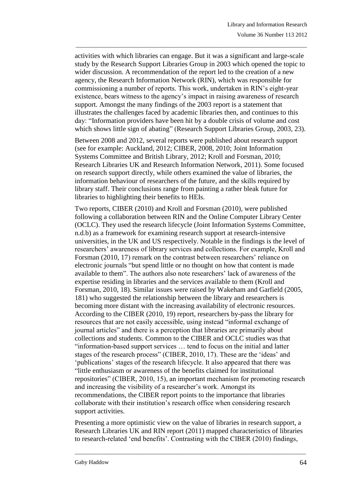activities with which libraries can engage. But it was a significant and large-scale study by the Research Support Libraries Group in 2003 which opened the topic to wider discussion. A recommendation of the report led to the creation of a new agency, the Research Information Network (RIN), which was responsible for commissioning a number of reports. This work, undertaken in RIN's eight-year existence, bears witness to the agency's impact in raising awareness of research support. Amongst the many findings of the 2003 report is a statement that illustrates the challenges faced by academic libraries then, and continues to this day: "Information providers have been hit by a double crisis of volume and cost which shows little sign of abating" (Research Support Libraries Group, 2003, 23).

\_\_\_\_\_\_\_\_\_\_\_\_\_\_\_\_\_\_\_\_\_\_\_\_\_\_\_\_\_\_\_\_\_\_\_\_\_\_\_\_\_\_\_\_\_\_\_\_\_\_\_\_\_\_\_\_\_\_\_\_\_\_\_\_\_\_\_\_\_\_\_\_\_\_\_\_\_\_\_

Between 2008 and 2012, several reports were published about research support (see for example: Auckland, 2012; CIBER, 2008, 2010; Joint Information Systems Committee and British Library, 2012; Kroll and Forsman, 2010; Research Libraries UK and Research Information Network, 2011). Some focused on research support directly, while others examined the value of libraries, the information behaviour of researchers of the future, and the skills required by library staff. Their conclusions range from painting a rather bleak future for libraries to highlighting their benefits to HEIs.

Two reports, CIBER (2010) and Kroll and Forsman (2010), were published following a collaboration between RIN and the Online Computer Library Center (OCLC). They used the research lifecycle (Joint Information Systems Committee, n.d.b) as a framework for examining research support at research-intensive universities, in the UK and US respectively. Notable in the findings is the level of researchers' awareness of library services and collections. For example, Kroll and Forsman (2010, 17) remark on the contrast between researchers' reliance on electronic journals "but spend little or no thought on how that content is made available to them". The authors also note researchers' lack of awareness of the expertise residing in libraries and the services available to them (Kroll and Forsman, 2010, 18). Similar issues were raised by Wakeham and Garfield (2005, 181) who suggested the relationship between the library and researchers is becoming more distant with the increasing availability of electronic resources. According to the CIBER (2010, 19) report, researchers by-pass the library for resources that are not easily accessible, using instead "informal exchange of journal articles" and there is a perception that libraries are primarily about collections and students. Common to the CIBER and OCLC studies was that "information-based support services … tend to focus on the initial and latter stages of the research process" (CIBER, 2010, 17). These are the 'ideas' and 'publications' stages of the research lifecycle. It also appeared that there was "little enthusiasm or awareness of the benefits claimed for institutional repositories" (CIBER, 2010, 15), an important mechanism for promoting research and increasing the visibility of a researcher's work. Amongst its recommendations, the CIBER report points to the importance that libraries collaborate with their institution's research office when considering research support activities.

Presenting a more optimistic view on the value of libraries in research support, a Research Libraries UK and RIN report (2011) mapped characteristics of libraries to research-related 'end benefits'. Contrasting with the CIBER (2010) findings,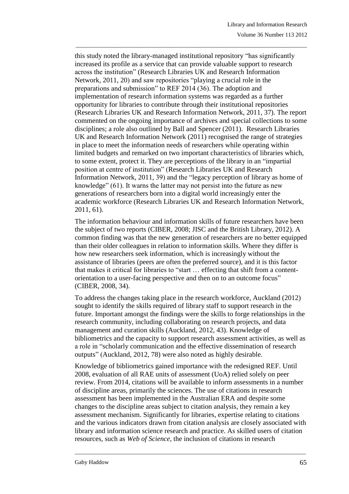this study noted the library-managed institutional repository "has significantly increased its profile as a service that can provide valuable support to research across the institution" (Research Libraries UK and Research Information Network, 2011, 20) and saw repositories "playing a crucial role in the preparations and submission" to REF 2014 (36). The adoption and implementation of research information systems was regarded as a further opportunity for libraries to contribute through their institutional repositories (Research Libraries UK and Research Information Network, 2011, 37). The report commented on the ongoing importance of archives and special collections to some disciplines; a role also outlined by Ball and Spencer (2011). Research Libraries UK and Research Information Network (2011) recognised the range of strategies in place to meet the information needs of researchers while operating within limited budgets and remarked on two important characteristics of libraries which, to some extent, protect it. They are perceptions of the library in an "impartial position at centre of institution" (Research Libraries UK and Research Information Network, 2011, 39) and the "legacy perception of library as home of knowledge" (61). It warns the latter may not persist into the future as new generations of researchers born into a digital world increasingly enter the academic workforce (Research Libraries UK and Research Information Network, 2011, 61).

\_\_\_\_\_\_\_\_\_\_\_\_\_\_\_\_\_\_\_\_\_\_\_\_\_\_\_\_\_\_\_\_\_\_\_\_\_\_\_\_\_\_\_\_\_\_\_\_\_\_\_\_\_\_\_\_\_\_\_\_\_\_\_\_\_\_\_\_\_\_\_\_\_\_\_\_\_\_\_

The information behaviour and information skills of future researchers have been the subject of two reports (CIBER, 2008; JISC and the British Library, 2012). A common finding was that the new generation of researchers are no better equipped than their older colleagues in relation to information skills. Where they differ is how new researchers seek information, which is increasingly without the assistance of libraries (peers are often the preferred source), and it is this factor that makes it critical for libraries to "start … effecting that shift from a contentorientation to a user-facing perspective and then on to an outcome focus" (CIBER, 2008, 34).

To address the changes taking place in the research workforce, Auckland (2012) sought to identify the skills required of library staff to support research in the future. Important amongst the findings were the skills to forge relationships in the research community, including collaborating on research projects, and data management and curation skills (Auckland, 2012, 43). Knowledge of bibliometrics and the capacity to support research assessment activities, as well as a role in "scholarly communication and the effective dissemination of research outputs" (Auckland, 2012, 78) were also noted as highly desirable.

Knowledge of bibliometrics gained importance with the redesigned REF. Until 2008, evaluation of all RAE units of assessment (UoA) relied solely on peer review. From 2014, citations will be available to inform assessments in a number of discipline areas, primarily the sciences. The use of citations in research assessment has been implemented in the Australian ERA and despite some changes to the discipline areas subject to citation analysis, they remain a key assessment mechanism. Significantly for libraries, expertise relating to citations and the various indicators drawn from citation analysis are closely associated with library and information science research and practice. As skilled users of citation resources, such as *Web of Science*, the inclusion of citations in research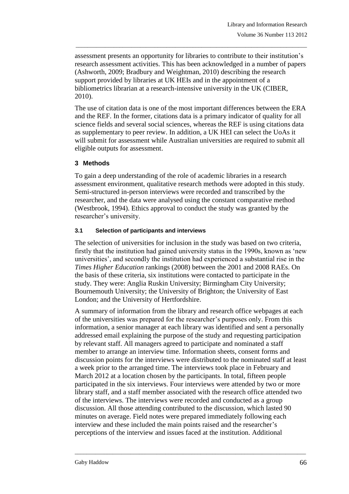assessment presents an opportunity for libraries to contribute to their institution's research assessment activities. This has been acknowledged in a number of papers (Ashworth, 2009; Bradbury and Weightman, 2010) describing the research support provided by libraries at UK HEIs and in the appointment of a bibliometrics librarian at a research-intensive university in the UK (CIBER, 2010).

\_\_\_\_\_\_\_\_\_\_\_\_\_\_\_\_\_\_\_\_\_\_\_\_\_\_\_\_\_\_\_\_\_\_\_\_\_\_\_\_\_\_\_\_\_\_\_\_\_\_\_\_\_\_\_\_\_\_\_\_\_\_\_\_\_\_\_\_\_\_\_\_\_\_\_\_\_\_\_

The use of citation data is one of the most important differences between the ERA and the REF. In the former, citations data is a primary indicator of quality for all science fields and several social sciences, whereas the REF is using citations data as supplementary to peer review. In addition, a UK HEI can select the UoAs it will submit for assessment while Australian universities are required to submit all eligible outputs for assessment.

# **3 Methods**

To gain a deep understanding of the role of academic libraries in a research assessment environment, qualitative research methods were adopted in this study. Semi-structured in-person interviews were recorded and transcribed by the researcher, and the data were analysed using the constant comparative method (Westbrook, 1994). Ethics approval to conduct the study was granted by the researcher's university.

### **3.1 Selection of participants and interviews**

The selection of universities for inclusion in the study was based on two criteria, firstly that the institution had gained university status in the 1990s, known as 'new universities', and secondly the institution had experienced a substantial rise in the *Times Higher Education* rankings (2008) between the 2001 and 2008 RAEs. On the basis of these criteria, six institutions were contacted to participate in the study. They were: Anglia Ruskin University; Birmingham City University; Bournemouth University; the University of Brighton; the University of East London; and the University of Hertfordshire.

A summary of information from the library and research office webpages at each of the universities was prepared for the researcher's purposes only. From this information, a senior manager at each library was identified and sent a personally addressed email explaining the purpose of the study and requesting participation by relevant staff. All managers agreed to participate and nominated a staff member to arrange an interview time. Information sheets, consent forms and discussion points for the interviews were distributed to the nominated staff at least a week prior to the arranged time. The interviews took place in February and March 2012 at a location chosen by the participants. In total, fifteen people participated in the six interviews. Four interviews were attended by two or more library staff, and a staff member associated with the research office attended two of the interviews. The interviews were recorded and conducted as a group discussion. All those attending contributed to the discussion, which lasted 90 minutes on average. Field notes were prepared immediately following each interview and these included the main points raised and the researcher's perceptions of the interview and issues faced at the institution. Additional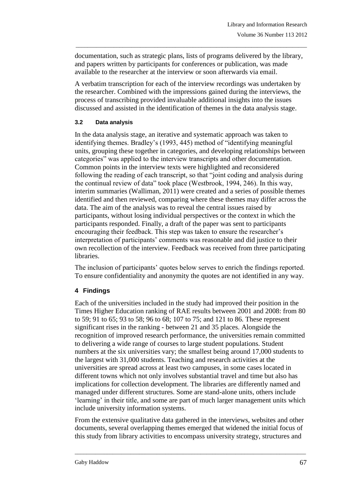documentation, such as strategic plans, lists of programs delivered by the library, and papers written by participants for conferences or publication, was made available to the researcher at the interview or soon afterwards via email.

\_\_\_\_\_\_\_\_\_\_\_\_\_\_\_\_\_\_\_\_\_\_\_\_\_\_\_\_\_\_\_\_\_\_\_\_\_\_\_\_\_\_\_\_\_\_\_\_\_\_\_\_\_\_\_\_\_\_\_\_\_\_\_\_\_\_\_\_\_\_\_\_\_\_\_\_\_\_\_

A verbatim transcription for each of the interview recordings was undertaken by the researcher. Combined with the impressions gained during the interviews, the process of transcribing provided invaluable additional insights into the issues discussed and assisted in the identification of themes in the data analysis stage.

#### **3.2 Data analysis**

In the data analysis stage, an iterative and systematic approach was taken to identifying themes. Bradley's (1993, 445) method of "identifying meaningful units, grouping these together in categories, and developing relationships between categories" was applied to the interview transcripts and other documentation. Common points in the interview texts were highlighted and reconsidered following the reading of each transcript, so that "joint coding and analysis during the continual review of data" took place (Westbrook, 1994, 246). In this way, interim summaries (Walliman, 2011) were created and a series of possible themes identified and then reviewed, comparing where these themes may differ across the data. The aim of the analysis was to reveal the central issues raised by participants, without losing individual perspectives or the context in which the participants responded. Finally, a draft of the paper was sent to participants encouraging their feedback. This step was taken to ensure the researcher's interpretation of participants' comments was reasonable and did justice to their own recollection of the interview. Feedback was received from three participating libraries.

The inclusion of participants' quotes below serves to enrich the findings reported. To ensure confidentiality and anonymity the quotes are not identified in any way.

# **4 Findings**

Each of the universities included in the study had improved their position in the Times Higher Education ranking of RAE results between 2001 and 2008: from 80 to 59; 91 to 65; 93 to 58; 96 to 68; 107 to 75; and 121 to 86. These represent significant rises in the ranking - between 21 and 35 places. Alongside the recognition of improved research performance, the universities remain committed to delivering a wide range of courses to large student populations. Student numbers at the six universities vary; the smallest being around 17,000 students to the largest with 31,000 students. Teaching and research activities at the universities are spread across at least two campuses, in some cases located in different towns which not only involves substantial travel and time but also has implications for collection development. The libraries are differently named and managed under different structures. Some are stand-alone units, others include 'learning' in their title, and some are part of much larger management units which include university information systems.

From the extensive qualitative data gathered in the interviews, websites and other documents, several overlapping themes emerged that widened the initial focus of this study from library activities to encompass university strategy, structures and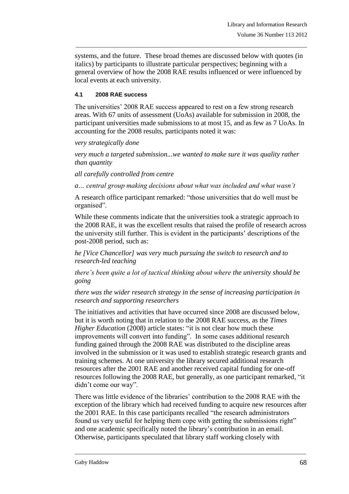systems, and the future. These broad themes are discussed below with quotes (in italics) by participants to illustrate particular perspectives; beginning with a general overview of how the 2008 RAE results influenced or were influenced by local events at each university.

\_\_\_\_\_\_\_\_\_\_\_\_\_\_\_\_\_\_\_\_\_\_\_\_\_\_\_\_\_\_\_\_\_\_\_\_\_\_\_\_\_\_\_\_\_\_\_\_\_\_\_\_\_\_\_\_\_\_\_\_\_\_\_\_\_\_\_\_\_\_\_\_\_\_\_\_\_\_\_

#### **4.1 2008 RAE success**

The universities' 2008 RAE success appeared to rest on a few strong research areas. With 67 units of assessment (UoAs) available for submission in 2008, the participant universities made submissions to at most 15, and as few as 7 UoAs. In accounting for the 2008 results, participants noted it was:

*very strategically done*

*very much a targeted submission...we wanted to make sure it was quality rather than quantity*

*all carefully controlled from centre*

*a… central group making decisions about what was included and what wasn't*

A research office participant remarked: "those universities that do well must be organised".

While these comments indicate that the universities took a strategic approach to the 2008 RAE, it was the excellent results that raised the profile of research across the university still further. This is evident in the participants' descriptions of the post-2008 period, such as:

*he [Vice Chancellor] was very much pursuing the switch to research and to research-led teaching*

*there's been quite a lot of tactical thinking about where the university should be going*

*there was the wider research strategy in the sense of increasing participation in research and supporting researchers*

The initiatives and activities that have occurred since 2008 are discussed below, but it is worth noting that in relation to the 2008 RAE success, as the *Times Higher Education* (2008) article states: "it is not clear how much these improvements will convert into funding". In some cases additional research funding gained through the 2008 RAE was distributed to the discipline areas involved in the submission or it was used to establish strategic research grants and training schemes. At one university the library secured additional research resources after the 2001 RAE and another received capital funding for one-off resources following the 2008 RAE, but generally, as one participant remarked, "it didn't come our way".

There was little evidence of the libraries' contribution to the 2008 RAE with the exception of the library which had received funding to acquire new resources after the 2001 RAE. In this case participants recalled "the research administrators found us very useful for helping them cope with getting the submissions right" and one academic specifically noted the library's contribution in an email. Otherwise, participants speculated that library staff working closely with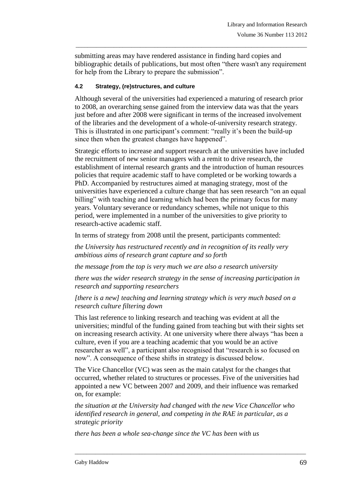submitting areas may have rendered assistance in finding hard copies and bibliographic details of publications, but most often "there wasn't any requirement for help from the Library to prepare the submission".

\_\_\_\_\_\_\_\_\_\_\_\_\_\_\_\_\_\_\_\_\_\_\_\_\_\_\_\_\_\_\_\_\_\_\_\_\_\_\_\_\_\_\_\_\_\_\_\_\_\_\_\_\_\_\_\_\_\_\_\_\_\_\_\_\_\_\_\_\_\_\_\_\_\_\_\_\_\_\_

### **4.2 Strategy, (re)structures, and culture**

Although several of the universities had experienced a maturing of research prior to 2008, an overarching sense gained from the interview data was that the years just before and after 2008 were significant in terms of the increased involvement of the libraries and the development of a whole-of-university research strategy. This is illustrated in one participant's comment: "really it's been the build-up since then when the greatest changes have happened".

Strategic efforts to increase and support research at the universities have included the recruitment of new senior managers with a remit to drive research, the establishment of internal research grants and the introduction of human resources policies that require academic staff to have completed or be working towards a PhD. Accompanied by restructures aimed at managing strategy, most of the universities have experienced a culture change that has seen research "on an equal billing" with teaching and learning which had been the primary focus for many years. Voluntary severance or redundancy schemes, while not unique to this period, were implemented in a number of the universities to give priority to research-active academic staff.

In terms of strategy from 2008 until the present, participants commented:

*the University has restructured recently and in recognition of its really very ambitious aims of research grant capture and so forth*

*the message from the top is very much we are also a research university*

*there was the wider research strategy in the sense of increasing participation in research and supporting researchers*

*[there is a new] teaching and learning strategy which is very much based on a research culture filtering down*

This last reference to linking research and teaching was evident at all the universities; mindful of the funding gained from teaching but with their sights set on increasing research activity. At one university where there always "has been a culture, even if you are a teaching academic that you would be an active researcher as well", a participant also recognised that "research is so focused on now". A consequence of these shifts in strategy is discussed below.

The Vice Chancellor (VC) was seen as the main catalyst for the changes that occurred, whether related to structures or processes. Five of the universities had appointed a new VC between 2007 and 2009, and their influence was remarked on, for example:

*the situation at the University had changed with the new Vice Chancellor who identified research in general, and competing in the RAE in particular, as a strategic priority*

\_\_\_\_\_\_\_\_\_\_\_\_\_\_\_\_\_\_\_\_\_\_\_\_\_\_\_\_\_\_\_\_\_\_\_\_\_\_\_\_\_\_\_\_\_\_\_\_\_\_\_\_\_\_\_\_\_\_\_\_\_\_\_\_\_\_\_\_\_\_\_\_\_\_\_\_\_\_\_

*there has been a whole sea-change since the VC has been with us*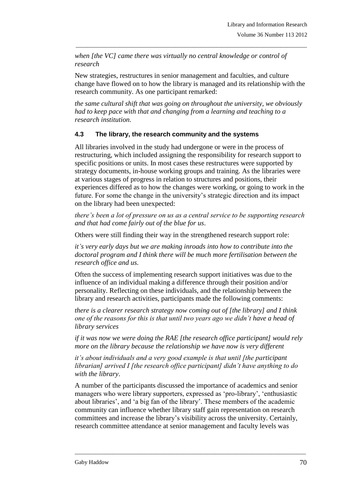*when [the VC] came there was virtually no central knowledge or control of research*

New strategies, restructures in senior management and faculties, and culture change have flowed on to how the library is managed and its relationship with the research community. As one participant remarked:

\_\_\_\_\_\_\_\_\_\_\_\_\_\_\_\_\_\_\_\_\_\_\_\_\_\_\_\_\_\_\_\_\_\_\_\_\_\_\_\_\_\_\_\_\_\_\_\_\_\_\_\_\_\_\_\_\_\_\_\_\_\_\_\_\_\_\_\_\_\_\_\_\_\_\_\_\_\_\_

*the same cultural shift that was going on throughout the university, we obviously had to keep pace with that and changing from a learning and teaching to a research institution.*

### **4.3 The library, the research community and the systems**

All libraries involved in the study had undergone or were in the process of restructuring, which included assigning the responsibility for research support to specific positions or units. In most cases these restructures were supported by strategy documents, in-house working groups and training. As the libraries were at various stages of progress in relation to structures and positions, their experiences differed as to how the changes were working, or going to work in the future. For some the change in the university's strategic direction and its impact on the library had been unexpected:

*there's been a lot of pressure on us as a central service to be supporting research and that had come fairly out of the blue for us*.

Others were still finding their way in the strengthened research support role:

*it's very early days but we are making inroads into how to contribute into the doctoral program and I think there will be much more fertilisation between the research office and us.*

Often the success of implementing research support initiatives was due to the influence of an individual making a difference through their position and/or personality. Reflecting on these individuals, and the relationship between the library and research activities, participants made the following comments:

*there is a clearer research strategy now coming out of [the library] and I think one of the reasons for this is that until two years ago we didn't have a head of library services*

*if it was now we were doing the RAE [the research office participant] would rely more on the library because the relationship we have now is very different*

*it's about individuals and a very good example is that until [the participant librarian] arrived I [the research office participant] didn't have anything to do with the library*.

A number of the participants discussed the importance of academics and senior managers who were library supporters, expressed as 'pro-library', 'enthusiastic about libraries', and 'a big fan of the library'. These members of the academic community can influence whether library staff gain representation on research committees and increase the library's visibility across the university. Certainly, research committee attendance at senior management and faculty levels was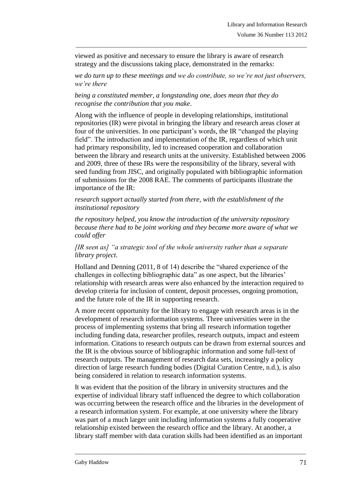viewed as positive and necessary to ensure the library is aware of research strategy and the discussions taking place, demonstrated in the remarks:

*we do turn up to these meetings and we do contribute, so we're not just observers, we're there*

\_\_\_\_\_\_\_\_\_\_\_\_\_\_\_\_\_\_\_\_\_\_\_\_\_\_\_\_\_\_\_\_\_\_\_\_\_\_\_\_\_\_\_\_\_\_\_\_\_\_\_\_\_\_\_\_\_\_\_\_\_\_\_\_\_\_\_\_\_\_\_\_\_\_\_\_\_\_\_

*being a constituted member, a longstanding one, does mean that they do recognise the contribution that you make*.

Along with the influence of people in developing relationships, institutional repositories (IR) were pivotal in bringing the library and research areas closer at four of the universities. In one participant's words, the IR "changed the playing field". The introduction and implementation of the IR, regardless of which unit had primary responsibility, led to increased cooperation and collaboration between the library and research units at the university. Established between 2006 and 2009, three of these IRs were the responsibility of the library, several with seed funding from JISC, and originally populated with bibliographic information of submissions for the 2008 RAE. The comments of participants illustrate the importance of the IR:

*research support actually started from there, with the establishment of the institutional repository*

*the repository helped, you know the introduction of the university repository because there had to be joint working and they became more aware of what we could offer*

#### *[IR seen as] "a strategic tool of the whole university rather than a separate library project.*

Holland and Denning (2011, 8 of 14) describe the "shared experience of the challenges in collecting bibliographic data" as one aspect, but the libraries' relationship with research areas were also enhanced by the interaction required to develop criteria for inclusion of content, deposit processes, ongoing promotion, and the future role of the IR in supporting research.

A more recent opportunity for the library to engage with research areas is in the development of research information systems. Three universities were in the process of implementing systems that bring all research information together including funding data, researcher profiles, research outputs, impact and esteem information. Citations to research outputs can be drawn from external sources and the IR is the obvious source of bibliographic information and some full-text of research outputs. The management of research data sets, increasingly a policy direction of large research funding bodies (Digital Curation Centre, n.d.), is also being considered in relation to research information systems.

It was evident that the position of the library in university structures and the expertise of individual library staff influenced the degree to which collaboration was occurring between the research office and the libraries in the development of a research information system. For example, at one university where the library was part of a much larger unit including information systems a fully cooperative relationship existed between the research office and the library. At another, a library staff member with data curation skills had been identified as an important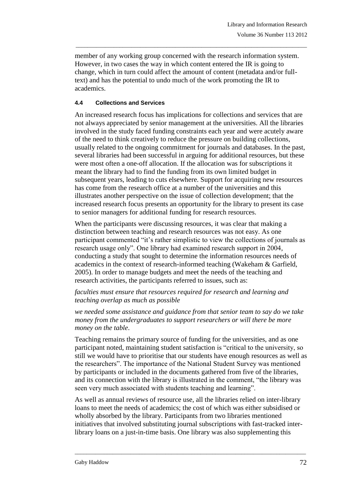member of any working group concerned with the research information system. However, in two cases the way in which content entered the IR is going to change, which in turn could affect the amount of content (metadata and/or fulltext) and has the potential to undo much of the work promoting the IR to academics.

\_\_\_\_\_\_\_\_\_\_\_\_\_\_\_\_\_\_\_\_\_\_\_\_\_\_\_\_\_\_\_\_\_\_\_\_\_\_\_\_\_\_\_\_\_\_\_\_\_\_\_\_\_\_\_\_\_\_\_\_\_\_\_\_\_\_\_\_\_\_\_\_\_\_\_\_\_\_\_

### **4.4 Collections and Services**

An increased research focus has implications for collections and services that are not always appreciated by senior management at the universities. All the libraries involved in the study faced funding constraints each year and were acutely aware of the need to think creatively to reduce the pressure on building collections, usually related to the ongoing commitment for journals and databases. In the past, several libraries had been successful in arguing for additional resources, but these were most often a one-off allocation. If the allocation was for subscriptions it meant the library had to find the funding from its own limited budget in subsequent years, leading to cuts elsewhere. Support for acquiring new resources has come from the research office at a number of the universities and this illustrates another perspective on the issue of collection development; that the increased research focus presents an opportunity for the library to present its case to senior managers for additional funding for research resources.

When the participants were discussing resources, it was clear that making a distinction between teaching and research resources was not easy. As one participant commented "it's rather simplistic to view the collections of journals as research usage only". One library had examined research support in 2004, conducting a study that sought to determine the information resources needs of academics in the context of research-informed teaching (Wakeham & Garfield, 2005). In order to manage budgets and meet the needs of the teaching and research activities, the participants referred to issues, such as:

### *faculties must ensure that resources required for research and learning and teaching overlap as much as possible*

*we needed some assistance and guidance from that senior team to say do we take money from the undergraduates to support researchers or will there be more money on the table*.

Teaching remains the primary source of funding for the universities, and as one participant noted, maintaining student satisfaction is "critical to the university, so still we would have to prioritise that our students have enough resources as well as the researchers". The importance of the National Student Survey was mentioned by participants or included in the documents gathered from five of the libraries, and its connection with the library is illustrated in the comment, "the library was seen very much associated with students teaching and learning".

As well as annual reviews of resource use, all the libraries relied on inter-library loans to meet the needs of academics; the cost of which was either subsidised or wholly absorbed by the library. Participants from two libraries mentioned initiatives that involved substituting journal subscriptions with fast-tracked interlibrary loans on a just-in-time basis. One library was also supplementing this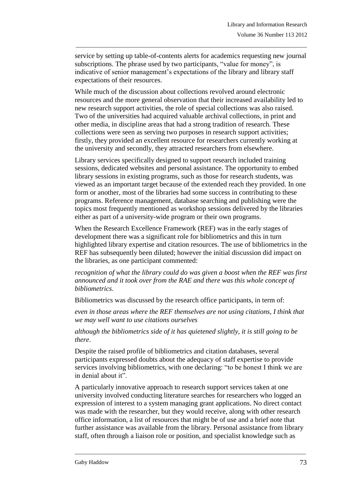service by setting up table-of-contents alerts for academics requesting new journal subscriptions. The phrase used by two participants, "value for money", is indicative of senior management's expectations of the library and library staff expectations of their resources.

\_\_\_\_\_\_\_\_\_\_\_\_\_\_\_\_\_\_\_\_\_\_\_\_\_\_\_\_\_\_\_\_\_\_\_\_\_\_\_\_\_\_\_\_\_\_\_\_\_\_\_\_\_\_\_\_\_\_\_\_\_\_\_\_\_\_\_\_\_\_\_\_\_\_\_\_\_\_\_

While much of the discussion about collections revolved around electronic resources and the more general observation that their increased availability led to new research support activities, the role of special collections was also raised. Two of the universities had acquired valuable archival collections, in print and other media, in discipline areas that had a strong tradition of research. These collections were seen as serving two purposes in research support activities; firstly, they provided an excellent resource for researchers currently working at the university and secondly, they attracted researchers from elsewhere.

Library services specifically designed to support research included training sessions, dedicated websites and personal assistance. The opportunity to embed library sessions in existing programs, such as those for research students, was viewed as an important target because of the extended reach they provided. In one form or another, most of the libraries had some success in contributing to these programs. Reference management, database searching and publishing were the topics most frequently mentioned as workshop sessions delivered by the libraries either as part of a university-wide program or their own programs.

When the Research Excellence Framework (REF) was in the early stages of development there was a significant role for bibliometrics and this in turn highlighted library expertise and citation resources. The use of bibliometrics in the REF has subsequently been diluted; however the initial discussion did impact on the libraries, as one participant commented:

*recognition of what the library could do was given a boost when the REF was first announced and it took over from the RAE and there was this whole concept of bibliometrics*.

Bibliometrics was discussed by the research office participants, in term of:

*even in those areas where the REF themselves are not using citations, I think that we may well want to use citations ourselves*

*although the bibliometrics side of it has quietened slightly, it is still going to be there*.

Despite the raised profile of bibliometrics and citation databases, several participants expressed doubts about the adequacy of staff expertise to provide services involving bibliometrics, with one declaring: "to be honest I think we are in denial about it".

A particularly innovative approach to research support services taken at one university involved conducting literature searches for researchers who logged an expression of interest to a system managing grant applications. No direct contact was made with the researcher, but they would receive, along with other research office information, a list of resources that might be of use and a brief note that further assistance was available from the library. Personal assistance from library staff, often through a liaison role or position, and specialist knowledge such as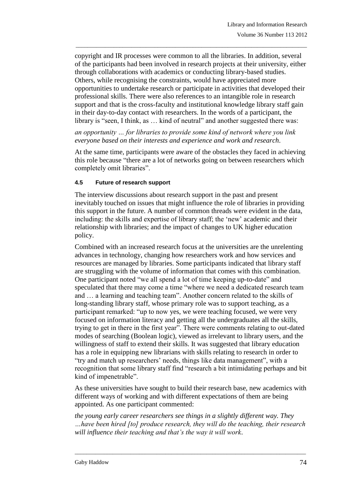copyright and IR processes were common to all the libraries. In addition, several of the participants had been involved in research projects at their university, either through collaborations with academics or conducting library-based studies. Others, while recognising the constraints, would have appreciated more opportunities to undertake research or participate in activities that developed their professional skills. There were also references to an intangible role in research support and that is the cross-faculty and institutional knowledge library staff gain in their day-to-day contact with researchers. In the words of a participant, the library is "seen, I think, as … kind of neutral" and another suggested there was:

\_\_\_\_\_\_\_\_\_\_\_\_\_\_\_\_\_\_\_\_\_\_\_\_\_\_\_\_\_\_\_\_\_\_\_\_\_\_\_\_\_\_\_\_\_\_\_\_\_\_\_\_\_\_\_\_\_\_\_\_\_\_\_\_\_\_\_\_\_\_\_\_\_\_\_\_\_\_\_

*an opportunity … for libraries to provide some kind of network where you link everyone based on their interests and experience and work and research*.

At the same time, participants were aware of the obstacles they faced in achieving this role because "there are a lot of networks going on between researchers which completely omit libraries".

#### **4.5 Future of research support**

The interview discussions about research support in the past and present inevitably touched on issues that might influence the role of libraries in providing this support in the future. A number of common threads were evident in the data, including: the skills and expertise of library staff; the 'new' academic and their relationship with libraries; and the impact of changes to UK higher education policy.

Combined with an increased research focus at the universities are the unrelenting advances in technology, changing how researchers work and how services and resources are managed by libraries. Some participants indicated that library staff are struggling with the volume of information that comes with this combination. One participant noted "we all spend a lot of time keeping up-to-date" and speculated that there may come a time "where we need a dedicated research team and … a learning and teaching team". Another concern related to the skills of long-standing library staff, whose primary role was to support teaching, as a participant remarked: "up to now yes, we were teaching focused, we were very focused on information literacy and getting all the undergraduates all the skills, trying to get in there in the first year". There were comments relating to out-dated modes of searching (Boolean logic), viewed as irrelevant to library users, and the willingness of staff to extend their skills. It was suggested that library education has a role in equipping new librarians with skills relating to research in order to "try and match up researchers' needs, things like data management", with a recognition that some library staff find "research a bit intimidating perhaps and bit kind of impenetrable".

As these universities have sought to build their research base, new academics with different ways of working and with different expectations of them are being appointed. As one participant commented:

*the young early career researchers see things in a slightly different way. They …have been hired [to] produce research, they will do the teaching, their research will influence their teaching and that's the way it will work*.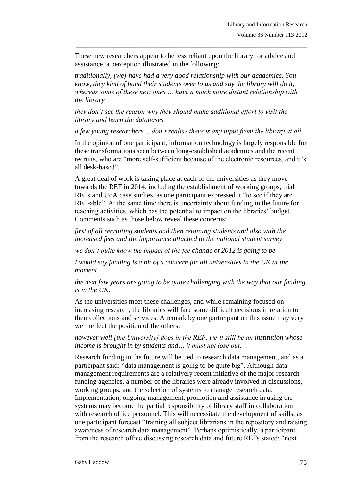These new researchers appear to be less reliant upon the library for advice and assistance, a perception illustrated in the following:

\_\_\_\_\_\_\_\_\_\_\_\_\_\_\_\_\_\_\_\_\_\_\_\_\_\_\_\_\_\_\_\_\_\_\_\_\_\_\_\_\_\_\_\_\_\_\_\_\_\_\_\_\_\_\_\_\_\_\_\_\_\_\_\_\_\_\_\_\_\_\_\_\_\_\_\_\_\_\_

*traditionally, [we] have had a very good relationship with our academics. You know, they kind of hand their students over to us and say the library will do it, whereas some of these new ones … have a much more distant relationship with the library*

*they don't see the reason why they should make additional effort to visit the library and learn the databases*

*a few young researchers… don't realise there is any input from the library at all*.

In the opinion of one participant, information technology is largely responsible for these transformations seen between long-established academics and the recent recruits, who are "more self-sufficient because of the electronic resources, and it's all desk-based".

A great deal of work is taking place at each of the universities as they move towards the REF in 2014, including the establishment of working groups, trial REFs and UoA case studies, as one participant expressed it "to see if they are REF-able". At the same time there is uncertainty about funding in the future for teaching activities, which has the potential to impact on the libraries' budget. Comments such as those below reveal these concerns:

*first of all recruiting students and then retaining students and also with the increased fees and the importance attached to the national student survey*

*we don't quite know the impact of the fee change of 2012 is going to be*

*I* would say funding is a bit of a concern for all universities in the UK at the *moment*

*the next few years are going to be quite challenging with the way that our funding is in the UK*.

As the universities meet these challenges, and while remaining focused on increasing research, the libraries will face some difficult decisions in relation to their collections and services. A remark by one participant on this issue may very well reflect the position of the others:

*however well [the University] does in the REF, we'll still be an institution whose income is brought in by students and… it must not lose out*.

Research funding in the future will be tied to research data management, and as a participant said: "data management is going to be quite big". Although data management requirements are a relatively recent initiative of the major research funding agencies, a number of the libraries were already involved in discussions, working groups, and the selection of systems to manage research data. Implementation, ongoing management, promotion and assistance in using the systems may become the partial responsibility of library staff in collaboration with research office personnel. This will necessitate the development of skills, as one participant forecast "training all subject librarians in the repository and raising awareness of research data management". Perhaps optimistically, a participant from the research office discussing research data and future REFs stated: "next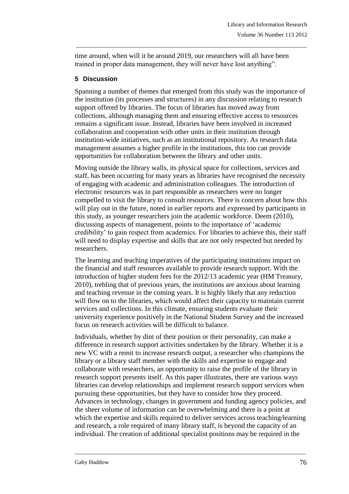time around, when will it be around 2019, our researchers will all have been trained in proper data management, they will never have lost anything".

\_\_\_\_\_\_\_\_\_\_\_\_\_\_\_\_\_\_\_\_\_\_\_\_\_\_\_\_\_\_\_\_\_\_\_\_\_\_\_\_\_\_\_\_\_\_\_\_\_\_\_\_\_\_\_\_\_\_\_\_\_\_\_\_\_\_\_\_\_\_\_\_\_\_\_\_\_\_\_

### **5 Discussion**

Spanning a number of themes that emerged from this study was the importance of the institution (its processes and structures) in any discussion relating to research support offered by libraries. The focus of libraries has moved away from collections, although managing them and ensuring effective access to resources remains a significant issue. Instead, libraries have been involved in increased collaboration and cooperation with other units in their institution through institution-wide initiatives, such as an institutional repository. As research data management assumes a higher profile in the institutions, this too can provide opportunities for collaboration between the library and other units.

Moving outside the library walls, its physical space for collections, services and staff, has been occurring for many years as libraries have recognised the necessity of engaging with academic and administration colleagues. The introduction of electronic resources was in part responsible as researchers were no longer compelled to visit the library to consult resources. There is concern about how this will play out in the future, noted in earlier reports and expressed by participants in this study, as younger researchers join the academic workforce. Deem (2010), discussing aspects of management, points to the importance of 'academic credibility' to gain respect from academics. For libraries to achieve this, their staff will need to display expertise and skills that are not only respected but needed by researchers.

The learning and teaching imperatives of the participating institutions impact on the financial and staff resources available to provide research support. With the introduction of higher student fees for the 2012/13 academic year (HM Treasury, 2010), trebling that of previous years, the institutions are anxious about learning and teaching revenue in the coming years. It is highly likely that any reduction will flow on to the libraries, which would affect their capacity to maintain current services and collections. In this climate, ensuring students evaluate their university experience positively in the National Student Survey and the increased focus on research activities will be difficult to balance.

Individuals, whether by dint of their position or their personality, can make a difference in research support activities undertaken by the library. Whether it is a new VC with a remit to increase research output, a researcher who champions the library or a library staff member with the skills and expertise to engage and collaborate with researchers, an opportunity to raise the profile of the library in research support presents itself. As this paper illustrates, there are various ways libraries can develop relationships and implement research support services when pursuing these opportunities, but they have to consider how they proceed. Advances in technology, changes in government and funding agency policies, and the sheer volume of information can be overwhelming and there is a point at which the expertise and skills required to deliver services across teaching/learning and research, a role required of many library staff, is beyond the capacity of an individual. The creation of additional specialist positions may be required in the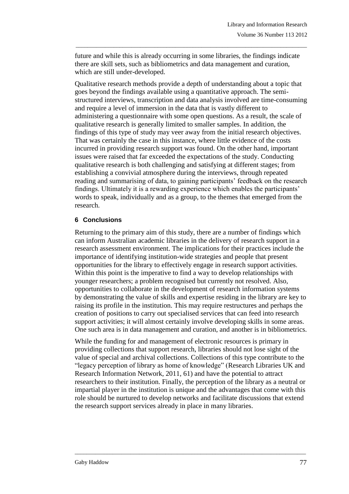future and while this is already occurring in some libraries, the findings indicate there are skill sets, such as bibliometrics and data management and curation, which are still under-developed.

\_\_\_\_\_\_\_\_\_\_\_\_\_\_\_\_\_\_\_\_\_\_\_\_\_\_\_\_\_\_\_\_\_\_\_\_\_\_\_\_\_\_\_\_\_\_\_\_\_\_\_\_\_\_\_\_\_\_\_\_\_\_\_\_\_\_\_\_\_\_\_\_\_\_\_\_\_\_\_

Qualitative research methods provide a depth of understanding about a topic that goes beyond the findings available using a quantitative approach. The semistructured interviews, transcription and data analysis involved are time-consuming and require a level of immersion in the data that is vastly different to administering a questionnaire with some open questions. As a result, the scale of qualitative research is generally limited to smaller samples. In addition, the findings of this type of study may veer away from the initial research objectives. That was certainly the case in this instance, where little evidence of the costs incurred in providing research support was found. On the other hand, important issues were raised that far exceeded the expectations of the study. Conducting qualitative research is both challenging and satisfying at different stages; from establishing a convivial atmosphere during the interviews, through repeated reading and summarising of data, to gaining participants' feedback on the research findings. Ultimately it is a rewarding experience which enables the participants' words to speak, individually and as a group, to the themes that emerged from the research.

### **6 Conclusions**

Returning to the primary aim of this study, there are a number of findings which can inform Australian academic libraries in the delivery of research support in a research assessment environment. The implications for their practices include the importance of identifying institution-wide strategies and people that present opportunities for the library to effectively engage in research support activities. Within this point is the imperative to find a way to develop relationships with younger researchers; a problem recognised but currently not resolved. Also, opportunities to collaborate in the development of research information systems by demonstrating the value of skills and expertise residing in the library are key to raising its profile in the institution. This may require restructures and perhaps the creation of positions to carry out specialised services that can feed into research support activities; it will almost certainly involve developing skills in some areas. One such area is in data management and curation, and another is in bibliometrics.

While the funding for and management of electronic resources is primary in providing collections that support research, libraries should not lose sight of the value of special and archival collections. Collections of this type contribute to the "legacy perception of library as home of knowledge" (Research Libraries UK and Research Information Network, 2011, 61) and have the potential to attract researchers to their institution. Finally, the perception of the library as a neutral or impartial player in the institution is unique and the advantages that come with this role should be nurtured to develop networks and facilitate discussions that extend the research support services already in place in many libraries.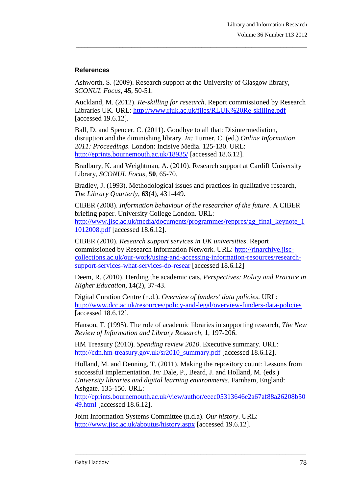### **References**

Ashworth, S. (2009). Research support at the University of Glasgow library, *SCONUL Focus*, **45**, 50-51.

Auckland, M. (2012). *Re-skilling for research*. Report commissioned by Research Libraries UK. URL:<http://www.rluk.ac.uk/files/RLUK%20Re-skilling.pdf> [accessed 19.6.12].

\_\_\_\_\_\_\_\_\_\_\_\_\_\_\_\_\_\_\_\_\_\_\_\_\_\_\_\_\_\_\_\_\_\_\_\_\_\_\_\_\_\_\_\_\_\_\_\_\_\_\_\_\_\_\_\_\_\_\_\_\_\_\_\_\_\_\_\_\_\_\_\_\_\_\_\_\_\_\_

Ball, D. and Spencer, C. (2011). Goodbye to all that: Disintermediation, disruption and the diminishing library. *In:* Turner, C. (ed.) *Online Information 2011: Proceedings*. London: Incisive Media. 125-130. URL: <http://eprints.bournemouth.ac.uk/18935/> [accessed 18.6.12].

Bradbury, K. and Weightman, A. (2010). Research support at Cardiff University Library, *SCONUL Focus*, **50**, 65-70.

Bradley, J. (1993). Methodological issues and practices in qualitative research, *The Library Quarterly*, **63**(4), 431-449.

CIBER (2008). *Information behaviour of the researcher of the future*. A CIBER briefing paper. University College London. URL: [http://www.jisc.ac.uk/media/documents/programmes/reppres/gg\\_final\\_keynote\\_1](http://www.jisc.ac.uk/media/documents/programmes/reppres/gg_final_keynote_11012008.pdf) [1012008.pdf](http://www.jisc.ac.uk/media/documents/programmes/reppres/gg_final_keynote_11012008.pdf) [accessed 18.6.12].

CIBER (2010). *Research support services in UK universities*. Report commissioned by Research Information Network. URL: [http://rinarchive.jisc](http://rinarchive.jisc-collections.ac.uk/our-work/using-and-accessing-information-resources/research-support-services-what-services-do-resear)[collections.ac.uk/our-work/using-and-accessing-information-resources/research](http://rinarchive.jisc-collections.ac.uk/our-work/using-and-accessing-information-resources/research-support-services-what-services-do-resear)[support-services-what-services-do-resear](http://rinarchive.jisc-collections.ac.uk/our-work/using-and-accessing-information-resources/research-support-services-what-services-do-resear) [accessed 18.6.12]

Deem, R. (2010). Herding the academic cats, *Perspectives: Policy and Practice in Higher Education*, **14**(2), 37-43.

Digital Curation Centre (n.d.). *Overview of funders' data policies*. URL: <http://www.dcc.ac.uk/resources/policy-and-legal/overview-funders-data-policies> [accessed 18.6.12].

Hanson, T. (1995). The role of academic libraries in supporting research, *The New Review of Information and Library Research*, **1**, 197-206.

HM Treasury (2010). *Spending review 2010*. Executive summary. URL: [http://cdn.hm-treasury.gov.uk/sr2010\\_summary.pdf](http://cdn.hm-treasury.gov.uk/sr2010_summary.pdf) [accessed 18.6.12].

Holland, M. and Denning, T. (2011). Making the repository count: Lessons from successful implementation. *In:* Dale, P., Beard, J. and Holland, M. (eds.) *University libraries and digital learning environments*. Farnham, England: Ashgate. 135-150. URL:

[http://eprints.bournemouth.ac.uk/view/author/eeec05313646e2a67af88a26208b50](http://eprints.bournemouth.ac.uk/view/author/eeec05313646e2a67af88a26208b5049.html) [49.html](http://eprints.bournemouth.ac.uk/view/author/eeec05313646e2a67af88a26208b5049.html) [accessed 18.6.12].

\_\_\_\_\_\_\_\_\_\_\_\_\_\_\_\_\_\_\_\_\_\_\_\_\_\_\_\_\_\_\_\_\_\_\_\_\_\_\_\_\_\_\_\_\_\_\_\_\_\_\_\_\_\_\_\_\_\_\_\_\_\_\_\_\_\_\_\_\_\_\_\_\_\_\_\_\_\_\_

Joint Information Systems Committee (n.d.a). *Our history*. URL: <http://www.jisc.ac.uk/aboutus/history.aspx> [accessed 19.6.12].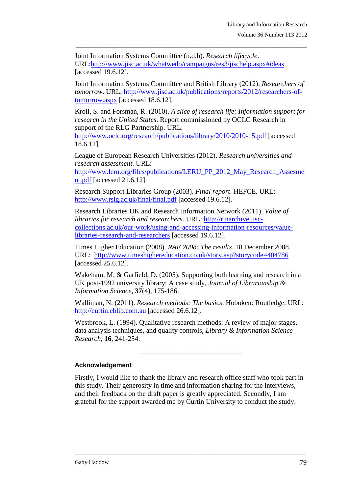Joint Information Systems Committee (n.d.b). *Research lifecycle*. URL[:http://www.jisc.ac.uk/whatwedo/campaigns/res3/jischelp.aspx#ideas](http://www.jisc.ac.uk/whatwedo/campaigns/res3/jischelp.aspx#ideas) [accessed 19.6.12].

Joint Information Systems Committee and British Library (2012). *Researchers of tomorrow*. URL: [http://www.jisc.ac.uk/publications/reports/2012/researchers-of](http://www.jisc.ac.uk/publications/reports/2012/researchers-of-tomorrow.aspx)[tomorrow.aspx](http://www.jisc.ac.uk/publications/reports/2012/researchers-of-tomorrow.aspx) [accessed 18.6.12].

\_\_\_\_\_\_\_\_\_\_\_\_\_\_\_\_\_\_\_\_\_\_\_\_\_\_\_\_\_\_\_\_\_\_\_\_\_\_\_\_\_\_\_\_\_\_\_\_\_\_\_\_\_\_\_\_\_\_\_\_\_\_\_\_\_\_\_\_\_\_\_\_\_\_\_\_\_\_\_

Kroll, S. and Forsman, R. (2010). *A slice of research life: Information support for research in the United States*. Report commissioned by OCLC Research in support of the RLG Partnership. URL: <http://www.oclc.org/research/publications/library/2010/2010-15.pdf> [accessed

18.6.12].

League of European Research Universities (2012). *Research universities and research assessment*. URL:

[http://www.leru.org/files/publications/LERU\\_PP\\_2012\\_May\\_Research\\_Assesme](http://www.leru.org/files/publications/LERU_PP_2012_May_Research_Assesment.pdf) [nt.pdf](http://www.leru.org/files/publications/LERU_PP_2012_May_Research_Assesment.pdf) [accessed 21.6.12].

Research Support Libraries Group (2003). *Final report*. HEFCE. URL: <http://www.rslg.ac.uk/final/final.pdf> [accessed 19.6.12].

Research Libraries UK and Research Information Network (2011). *Value of libraries for research and researchers*. URL: [http://rinarchive.jisc](http://rinarchive.jisc-collections.ac.uk/our-work/using-and-accessing-information-resources/value-libraries-research-and-researchers)[collections.ac.uk/our-work/using-and-accessing-information-resources/value](http://rinarchive.jisc-collections.ac.uk/our-work/using-and-accessing-information-resources/value-libraries-research-and-researchers)[libraries-research-and-researchers](http://rinarchive.jisc-collections.ac.uk/our-work/using-and-accessing-information-resources/value-libraries-research-and-researchers) [accessed 19.6.12].

Times Higher Education (2008). *RAE 2008: The results*. 18 December 2008. URL: <http://www.timeshighereducation.co.uk/story.asp?storycode=404786> [accessed 25.6.12].

Wakeham, M. & Garfield, D. (2005). Supporting both learning and research in a UK post-1992 university library: A case study, *Journal of Librarianship & Information Science,* **37**(4), 175-186.

Walliman, N. (2011). *Research methods: The basics*. Hoboken: Routledge. URL: [http://curtin.eblib.com.au](http://curtin.eblib.com.au/) [accessed 26.6.12].

Westbrook, L. (1994). Qualitative research methods: A review of major stages, data analysis techniques, and quality controls, *Library & Information Science Research,* **16**, 241-254.

\_\_\_\_\_\_\_\_\_\_\_\_\_\_\_\_\_\_\_\_\_\_\_\_\_\_\_\_\_

### **Acknowledgement**

Firstly, I would like to thank the library and research office staff who took part in this study. Their generosity in time and information sharing for the interviews, and their feedback on the draft paper is greatly appreciated. Secondly, I am grateful for the support awarded me by Curtin University to conduct the study.